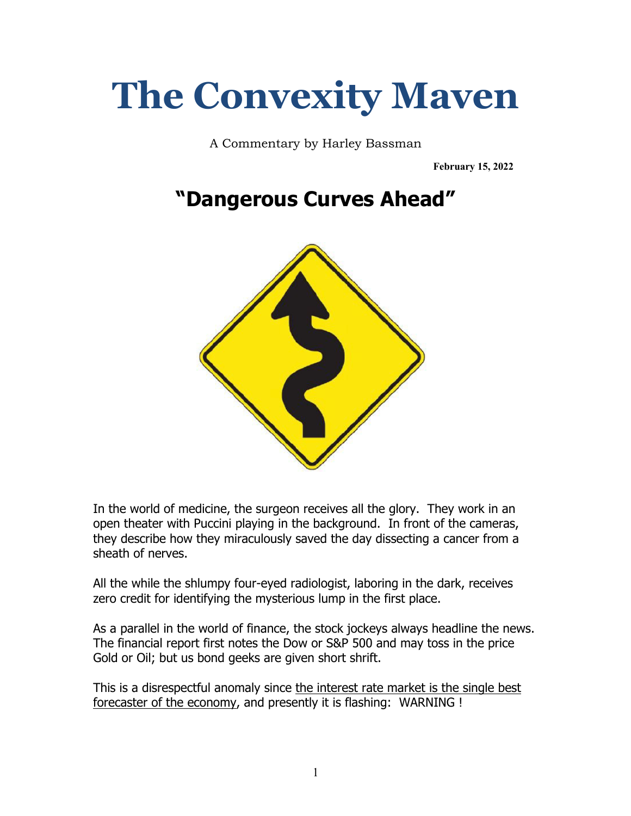## **The Convexity Maven**

A Commentary by Harley Bassman

**February 15, 2022**

## **"Dangerous Curves Ahead"**



In the world of medicine, the surgeon receives all the glory. They work in an open theater with Puccini playing in the background. In front of the cameras, they describe how they miraculously saved the day dissecting a cancer from a sheath of nerves.

All the while the shlumpy four-eyed radiologist, laboring in the dark, receives zero credit for identifying the mysterious lump in the first place.

As a parallel in the world of finance, the stock jockeys always headline the news. The financial report first notes the Dow or S&P 500 and may toss in the price Gold or Oil; but us bond geeks are given short shrift.

This is a disrespectful anomaly since the interest rate market is the single best forecaster of the economy, and presently it is flashing: WARNING !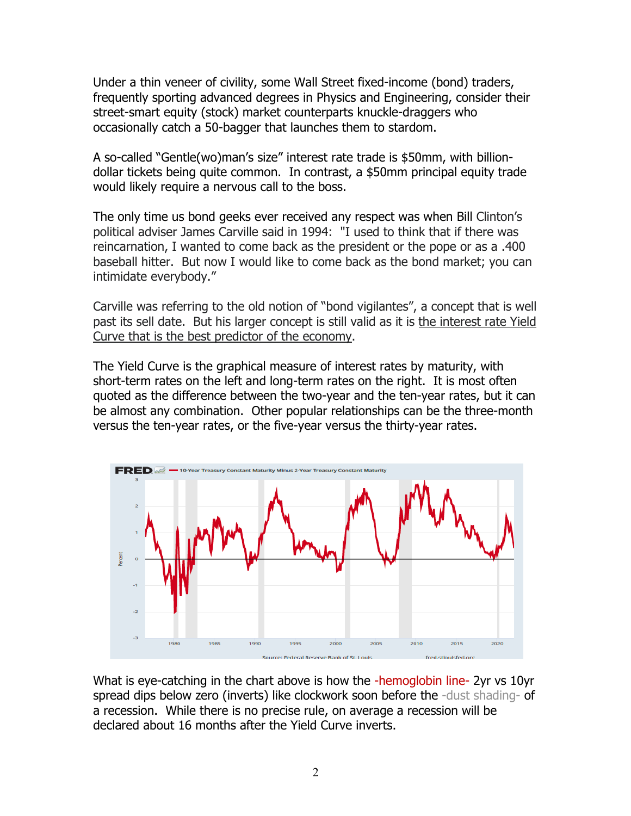Under a thin veneer of civility, some Wall Street fixed-income (bond) traders, frequently sporting advanced degrees in Physics and Engineering, consider their street-smart equity (stock) market counterparts knuckle-draggers who occasionally catch a 50-bagger that launches them to stardom.

A so-called "Gentle(wo)man's size" interest rate trade is \$50mm, with billiondollar tickets being quite common. In contrast, a \$50mm principal equity trade would likely require a nervous call to the boss.

The only time us bond geeks ever received any respect was when Bill Clinton's political adviser James Carville said in 1994: "I used to think that if there was reincarnation, I wanted to come back as the president or the pope or as a .400 baseball hitter. But now I would like to come back as the bond market; you can intimidate everybody."

Carville was referring to the old notion of "bond vigilantes", a concept that is well past its sell date. But his larger concept is still valid as it is the interest rate Yield Curve that is the best predictor of the economy.

The Yield Curve is the graphical measure of interest rates by maturity, with short-term rates on the left and long-term rates on the right. It is most often quoted as the difference between the two-year and the ten-year rates, but it can be almost any combination. Other popular relationships can be the three-month versus the ten-year rates, or the five-year versus the thirty-year rates.



What is eye-catching in the chart above is how the -hemoglobin line- 2yr vs 10yr spread dips below zero (inverts) like clockwork soon before the -dust shading- of a recession. While there is no precise rule, on average a recession will be declared about 16 months after the Yield Curve inverts.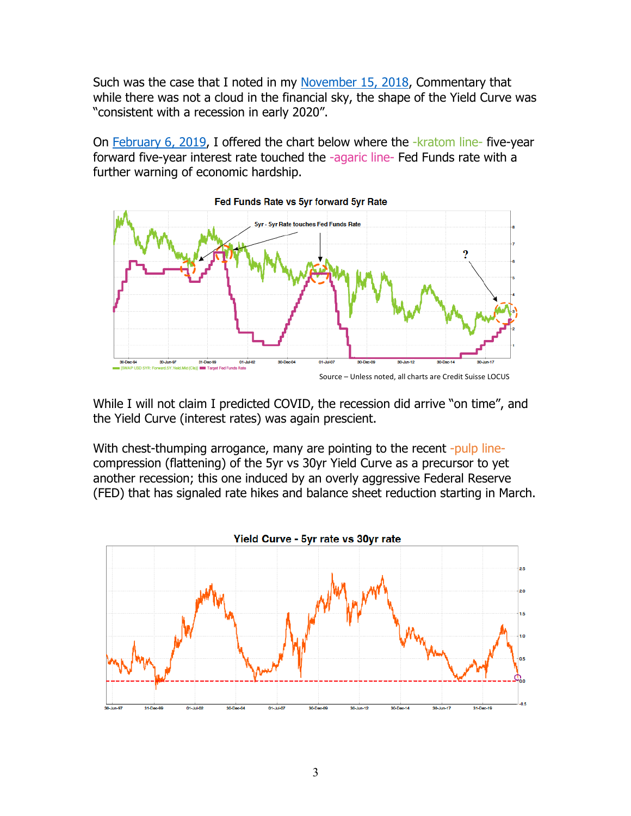Such was the case that I noted in my November 15, 2018, Commentary that while there was not a cloud in the financial sky, the shape of the Yield Curve was "consistent with a recession in early 2020".

On February 6, 2019, I offered the chart below where the -kratom line-five-year forward five-year interest rate touched the -agaric line- Fed Funds rate with a further warning of economic hardship.



While I will not claim I predicted COVID, the recession did arrive "on time", and the Yield Curve (interest rates) was again prescient.

With chest-thumping arrogance, many are pointing to the recent -pulp linecompression (flattening) of the 5yr vs 30yr Yield Curve as a precursor to yet another recession; this one induced by an overly aggressive Federal Reserve (FED) that has signaled rate hikes and balance sheet reduction starting in March.

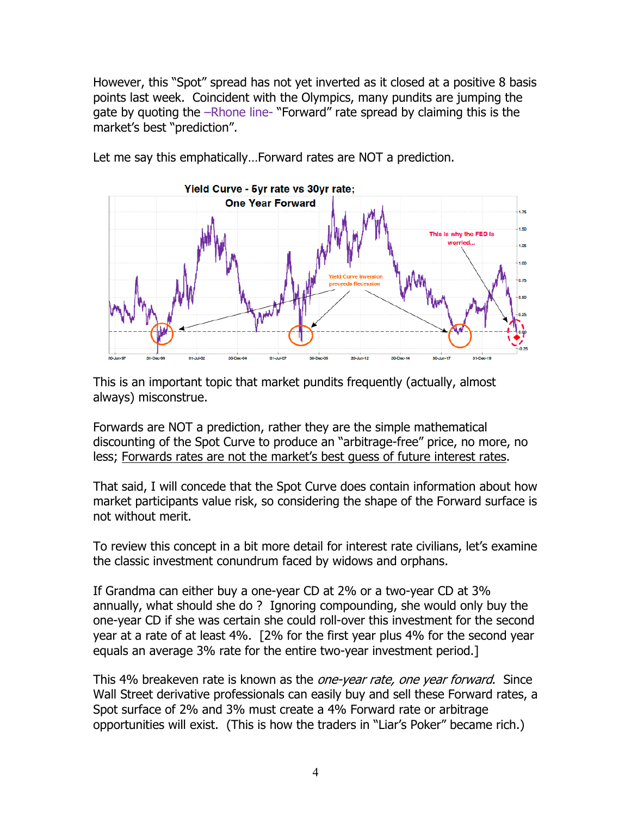However, this "Spot" spread has not yet inverted as it closed at a positive 8 basis points last week. Coincident with the Olympics, many pundits are jumping the gate by quoting the –Rhone line- "Forward" rate spread by claiming this is the market's best "prediction".



Let me say this emphatically…Forward rates are NOT a prediction.

This is an important topic that market pundits frequently (actually, almost always) misconstrue.

Forwards are NOT a prediction, rather they are the simple mathematical discounting of the Spot Curve to produce an "arbitrage-free" price, no more, no less; Forwards rates are not the market's best guess of future interest rates.

That said, I will concede that the Spot Curve does contain information about how market participants value risk, so considering the shape of the Forward surface is not without merit.

To review this concept in a bit more detail for interest rate civilians, let's examine the classic investment conundrum faced by widows and orphans.

If Grandma can either buy a one-year CD at 2% or a two-year CD at 3% annually, what should she do ? Ignoring compounding, she would only buy the one-year CD if she was certain she could roll-over this investment for the second year at a rate of at least 4%. [2% for the first year plus 4% for the second year equals an average 3% rate for the entire two-year investment period.]

This 4% breakeven rate is known as the one-year rate, one year forward. Since Wall Street derivative professionals can easily buy and sell these Forward rates, a Spot surface of 2% and 3% must create a 4% Forward rate or arbitrage opportunities will exist. (This is how the traders in "Liar's Poker" became rich.)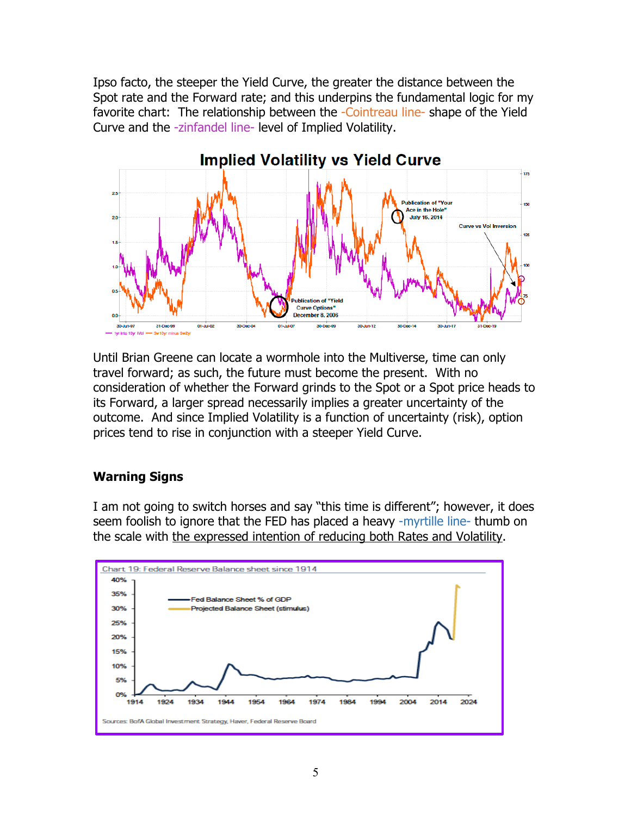Ipso facto, the steeper the Yield Curve, the greater the distance between the Spot rate and the Forward rate; and this underpins the fundamental logic for my favorite chart: The relationship between the -Cointreau line-shape of the Yield Curve and the -zinfandel line- level of Implied Volatility.



Until Brian Greene can locate a wormhole into the Multiverse, time can only travel forward; as such, the future must become the present. With no consideration of whether the Forward grinds to the Spot or a Spot price heads to its Forward, a larger spread necessarily implies a greater uncertainty of the outcome. And since Implied Volatility is a function of uncertainty (risk), option prices tend to rise in conjunction with a steeper Yield Curve.

## **Warning Signs**

I am not going to switch horses and say "this time is different"; however, it does seem foolish to ignore that the FED has placed a heavy -myrtille line- thumb on the scale with the expressed intention of reducing both Rates and Volatility.

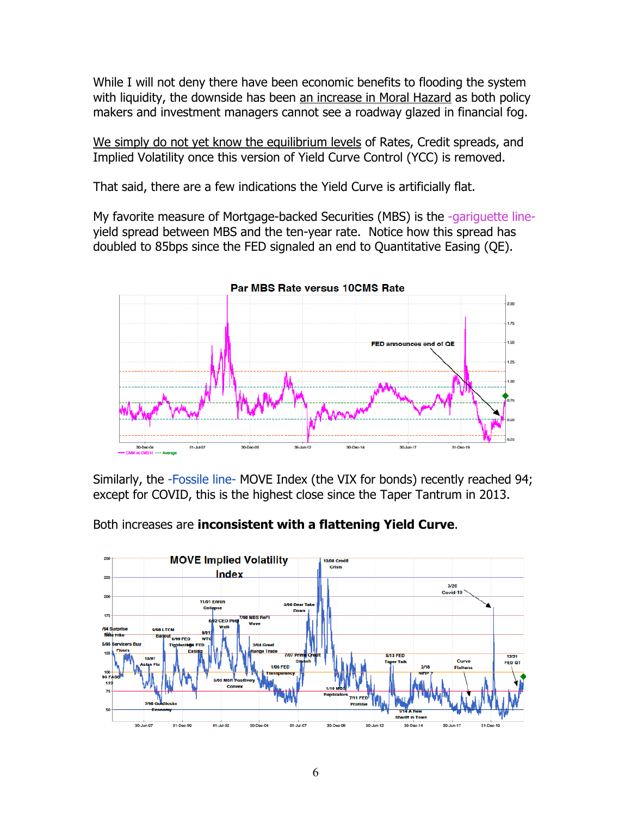While I will not deny there have been economic benefits to flooding the system with liquidity, the downside has been an increase in Moral Hazard as both policy makers and investment managers cannot see a roadway glazed in financial fog.

We simply do not yet know the equilibrium levels of Rates, Credit spreads, and Implied Volatility once this version of Yield Curve Control (YCC) is removed.

That said, there are a few indications the Yield Curve is artificially flat.

My favorite measure of Mortgage-backed Securities (MBS) is the -gariguette lineyield spread between MBS and the ten-year rate. Notice how this spread has doubled to 85bps since the FED signaled an end to Quantitative Easing (QE).



Similarly, the -Fossile line- MOVE Index (the VIX for bonds) recently reached 94; except for COVID, this is the highest close since the Taper Tantrum in 2013.

Both increases are **inconsistent with a flattening Yield Curve**.

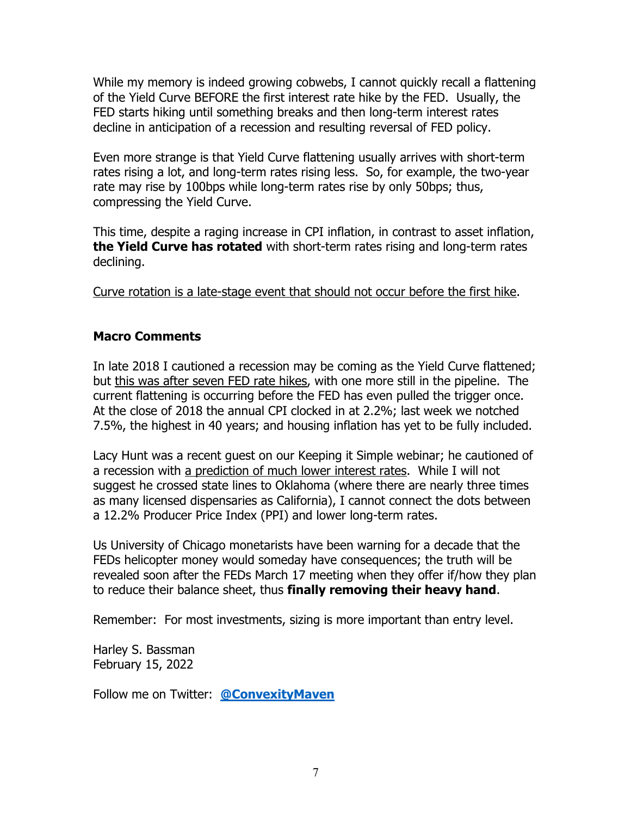While my memory is indeed growing cobwebs, I cannot quickly recall a flattening of the Yield Curve BEFORE the first interest rate hike by the FED. Usually, the FED starts hiking until something breaks and then long-term interest rates decline in anticipation of a recession and resulting reversal of FED policy.

Even more strange is that Yield Curve flattening usually arrives with short-term rates rising a lot, and long-term rates rising less. So, for example, the two-year rate may rise by 100bps while long-term rates rise by only 50bps; thus, compressing the Yield Curve.

This time, despite a raging increase in CPI inflation, in contrast to asset inflation, **the Yield Curve has rotated** with short-term rates rising and long-term rates declining.

Curve rotation is a late-stage event that should not occur before the first hike.

## **Macro Comments**

In late 2018 I cautioned a recession may be coming as the Yield Curve flattened; but this was after seven FED rate hikes, with one more still in the pipeline. The current flattening is occurring before the FED has even pulled the trigger once. At the close of 2018 the annual CPI clocked in at 2.2%; last week we notched 7.5%, the highest in 40 years; and housing inflation has yet to be fully included.

Lacy Hunt was a recent guest on our Keeping it Simple webinar; he cautioned of a recession with a prediction of much lower interest rates. While I will not suggest he crossed state lines to Oklahoma (where there are nearly three times as many licensed dispensaries as California), I cannot connect the dots between a 12.2% Producer Price Index (PPI) and lower long-term rates.

Us University of Chicago monetarists have been warning for a decade that the FEDs helicopter money would someday have consequences; the truth will be revealed soon after the FEDs March 17 meeting when they offer if/how they plan to reduce their balance sheet, thus **finally removing their heavy hand**.

Remember: For most investments, sizing is more important than entry level.

Harley S. Bassman February 15, 2022

Follow me on Twitter: **@ConvexityMaven**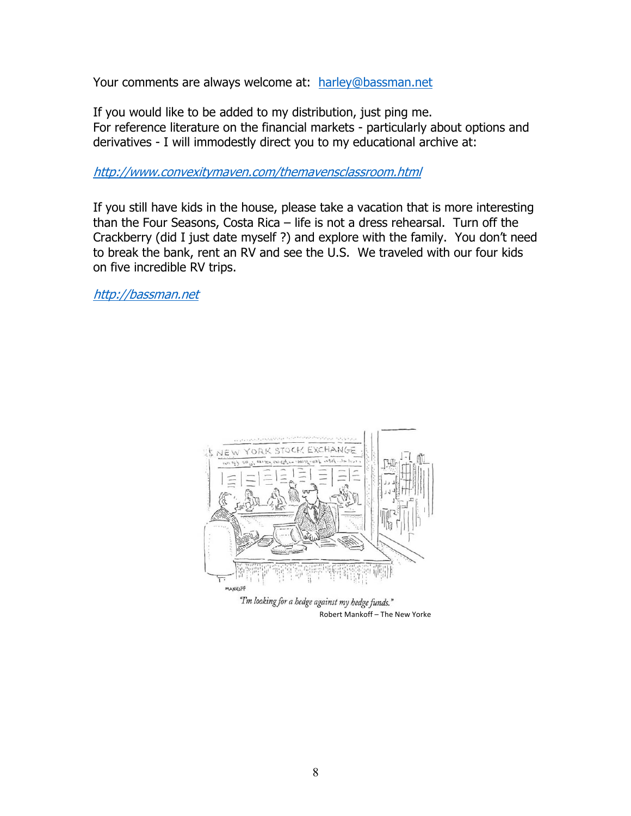Your comments are always welcome at: harley@bassman.net

If you would like to be added to my distribution, just ping me. For reference literature on the financial markets - particularly about options and derivatives - I will immodestly direct you to my educational archive at:

http://www.convexitymaven.com/themavensclassroom.html

If you still have kids in the house, please take a vacation that is more interesting than the Four Seasons, Costa Rica – life is not a dress rehearsal. Turn off the Crackberry (did I just date myself ?) and explore with the family. You don't need to break the bank, rent an RV and see the U.S. We traveled with our four kids on five incredible RV trips.

http://bassman.net



"I'm looking for a hedge against my hedge funds." Robert Mankoff – The New Yorke